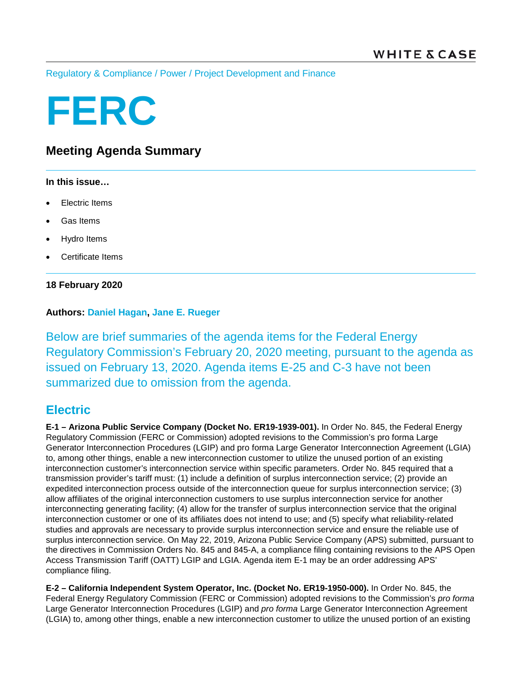[Regulatory & Compliance](https://www.whitecase.com/law/practices/regulatory-compliance) / [Power](https://www.whitecase.com/law/industries/power) / [Project Development and Finance](https://www.whitecase.com/law/practices/project-development-and-finance)

# **FERC**

# **Meeting Agenda Summary**

#### **In this issue…**

- **Electric Items**
- Gas Items
- Hydro Items
- Certificate Items

### **18 February 2020**

## **Authors: [Daniel Hagan,](https://www.whitecase.com/people/daniel-hagan) [Jane E. Rueger](https://www.whitecase.com/people/jane-rueger)**

Below are brief summaries of the agenda items for the Federal Energy Regulatory Commission's February 20, 2020 meeting, pursuant to the agenda as issued on February 13, 2020. Agenda items E-25 and C-3 have not been summarized due to omission from the agenda.

## **Electric**

**E-1 – Arizona Public Service Company (Docket No. ER19-1939-001).** In Order No. 845, the Federal Energy Regulatory Commission (FERC or Commission) adopted revisions to the Commission's pro forma Large Generator Interconnection Procedures (LGIP) and pro forma Large Generator Interconnection Agreement (LGIA) to, among other things, enable a new interconnection customer to utilize the unused portion of an existing interconnection customer's interconnection service within specific parameters. Order No. 845 required that a transmission provider's tariff must: (1) include a definition of surplus interconnection service; (2) provide an expedited interconnection process outside of the interconnection queue for surplus interconnection service; (3) allow affiliates of the original interconnection customers to use surplus interconnection service for another interconnecting generating facility; (4) allow for the transfer of surplus interconnection service that the original interconnection customer or one of its affiliates does not intend to use; and (5) specify what reliability-related studies and approvals are necessary to provide surplus interconnection service and ensure the reliable use of surplus interconnection service. On May 22, 2019, Arizona Public Service Company (APS) submitted, pursuant to the directives in Commission Orders No. 845 and 845-A, a compliance filing containing revisions to the APS Open Access Transmission Tariff (OATT) LGIP and LGIA. Agenda item E-1 may be an order addressing APS' compliance filing.

**E-2 – California Independent System Operator, Inc. (Docket No. ER19-1950-000).** In Order No. 845, the Federal Energy Regulatory Commission (FERC or Commission) adopted revisions to the Commission's *pro forma* Large Generator Interconnection Procedures (LGIP) and *pro forma* Large Generator Interconnection Agreement (LGIA) to, among other things, enable a new interconnection customer to utilize the unused portion of an existing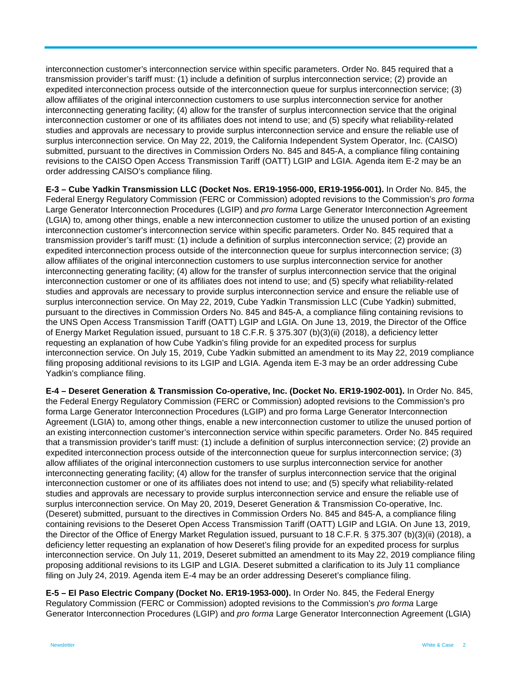interconnection customer's interconnection service within specific parameters. Order No. 845 required that a transmission provider's tariff must: (1) include a definition of surplus interconnection service; (2) provide an expedited interconnection process outside of the interconnection queue for surplus interconnection service; (3) allow affiliates of the original interconnection customers to use surplus interconnection service for another interconnecting generating facility; (4) allow for the transfer of surplus interconnection service that the original interconnection customer or one of its affiliates does not intend to use; and (5) specify what reliability-related studies and approvals are necessary to provide surplus interconnection service and ensure the reliable use of surplus interconnection service. On May 22, 2019, the California Independent System Operator, Inc. (CAISO) submitted, pursuant to the directives in Commission Orders No. 845 and 845-A, a compliance filing containing revisions to the CAISO Open Access Transmission Tariff (OATT) LGIP and LGIA. Agenda item E-2 may be an order addressing CAISO's compliance filing.

**E-3 – Cube Yadkin Transmission LLC (Docket Nos. ER19-1956-000, ER19-1956-001).** In Order No. 845, the Federal Energy Regulatory Commission (FERC or Commission) adopted revisions to the Commission's *pro forma* Large Generator Interconnection Procedures (LGIP) and *pro forma* Large Generator Interconnection Agreement (LGIA) to, among other things, enable a new interconnection customer to utilize the unused portion of an existing interconnection customer's interconnection service within specific parameters. Order No. 845 required that a transmission provider's tariff must: (1) include a definition of surplus interconnection service; (2) provide an expedited interconnection process outside of the interconnection queue for surplus interconnection service; (3) allow affiliates of the original interconnection customers to use surplus interconnection service for another interconnecting generating facility; (4) allow for the transfer of surplus interconnection service that the original interconnection customer or one of its affiliates does not intend to use; and (5) specify what reliability-related studies and approvals are necessary to provide surplus interconnection service and ensure the reliable use of surplus interconnection service. On May 22, 2019, Cube Yadkin Transmission LLC (Cube Yadkin) submitted, pursuant to the directives in Commission Orders No. 845 and 845-A, a compliance filing containing revisions to the UNS Open Access Transmission Tariff (OATT) LGIP and LGIA. On June 13, 2019, the Director of the Office of Energy Market Regulation issued, pursuant to 18 C.F.R. § 375.307 (b)(3)(ii) (2018), a deficiency letter requesting an explanation of how Cube Yadkin's filing provide for an expedited process for surplus interconnection service. On July 15, 2019, Cube Yadkin submitted an amendment to its May 22, 2019 compliance filing proposing additional revisions to its LGIP and LGIA. Agenda item E-3 may be an order addressing Cube Yadkin's compliance filing.

**E-4 – Deseret Generation & Transmission Co-operative, Inc. (Docket No. ER19-1902-001).** In Order No. 845, the Federal Energy Regulatory Commission (FERC or Commission) adopted revisions to the Commission's pro forma Large Generator Interconnection Procedures (LGIP) and pro forma Large Generator Interconnection Agreement (LGIA) to, among other things, enable a new interconnection customer to utilize the unused portion of an existing interconnection customer's interconnection service within specific parameters. Order No. 845 required that a transmission provider's tariff must: (1) include a definition of surplus interconnection service; (2) provide an expedited interconnection process outside of the interconnection queue for surplus interconnection service; (3) allow affiliates of the original interconnection customers to use surplus interconnection service for another interconnecting generating facility; (4) allow for the transfer of surplus interconnection service that the original interconnection customer or one of its affiliates does not intend to use; and (5) specify what reliability-related studies and approvals are necessary to provide surplus interconnection service and ensure the reliable use of surplus interconnection service. On May 20, 2019, Deseret Generation & Transmission Co-operative, Inc. (Deseret) submitted, pursuant to the directives in Commission Orders No. 845 and 845-A, a compliance filing containing revisions to the Deseret Open Access Transmission Tariff (OATT) LGIP and LGIA. On June 13, 2019, the Director of the Office of Energy Market Regulation issued, pursuant to 18 C.F.R. § 375.307 (b)(3)(ii) (2018), a deficiency letter requesting an explanation of how Deseret's filing provide for an expedited process for surplus interconnection service. On July 11, 2019, Deseret submitted an amendment to its May 22, 2019 compliance filing proposing additional revisions to its LGIP and LGIA. Deseret submitted a clarification to its July 11 compliance filing on July 24, 2019. Agenda item E-4 may be an order addressing Deseret's compliance filing.

**E-5 – El Paso Electric Company (Docket No. ER19-1953-000).** In Order No. 845, the Federal Energy Regulatory Commission (FERC or Commission) adopted revisions to the Commission's *pro forma* Large Generator Interconnection Procedures (LGIP) and *pro forma* Large Generator Interconnection Agreement (LGIA)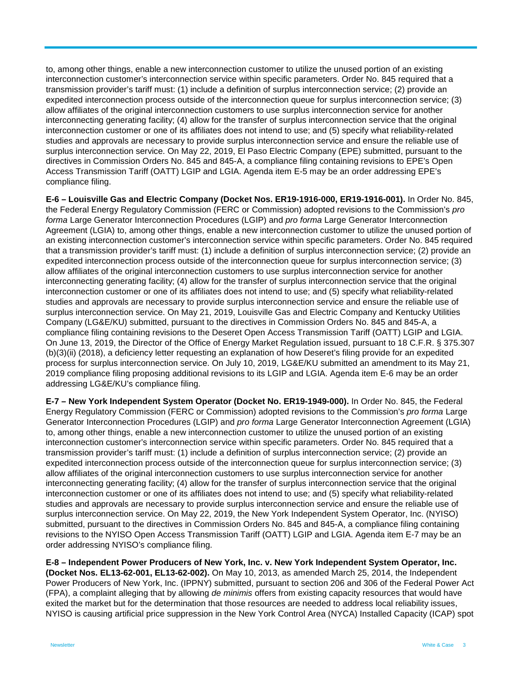to, among other things, enable a new interconnection customer to utilize the unused portion of an existing interconnection customer's interconnection service within specific parameters. Order No. 845 required that a transmission provider's tariff must: (1) include a definition of surplus interconnection service; (2) provide an expedited interconnection process outside of the interconnection queue for surplus interconnection service; (3) allow affiliates of the original interconnection customers to use surplus interconnection service for another interconnecting generating facility; (4) allow for the transfer of surplus interconnection service that the original interconnection customer or one of its affiliates does not intend to use; and (5) specify what reliability-related studies and approvals are necessary to provide surplus interconnection service and ensure the reliable use of surplus interconnection service. On May 22, 2019, El Paso Electric Company (EPE) submitted, pursuant to the directives in Commission Orders No. 845 and 845-A, a compliance filing containing revisions to EPE's Open Access Transmission Tariff (OATT) LGIP and LGIA. Agenda item E-5 may be an order addressing EPE's compliance filing.

**E-6 – Louisville Gas and Electric Company (Docket Nos. ER19-1916-000, ER19-1916-001).** In Order No. 845, the Federal Energy Regulatory Commission (FERC or Commission) adopted revisions to the Commission's *pro forma* Large Generator Interconnection Procedures (LGIP) and *pro forma* Large Generator Interconnection Agreement (LGIA) to, among other things, enable a new interconnection customer to utilize the unused portion of an existing interconnection customer's interconnection service within specific parameters. Order No. 845 required that a transmission provider's tariff must: (1) include a definition of surplus interconnection service; (2) provide an expedited interconnection process outside of the interconnection queue for surplus interconnection service; (3) allow affiliates of the original interconnection customers to use surplus interconnection service for another interconnecting generating facility; (4) allow for the transfer of surplus interconnection service that the original interconnection customer or one of its affiliates does not intend to use; and (5) specify what reliability-related studies and approvals are necessary to provide surplus interconnection service and ensure the reliable use of surplus interconnection service. On May 21, 2019, Louisville Gas and Electric Company and Kentucky Utilities Company (LG&E/KU) submitted, pursuant to the directives in Commission Orders No. 845 and 845-A, a compliance filing containing revisions to the Deseret Open Access Transmission Tariff (OATT) LGIP and LGIA. On June 13, 2019, the Director of the Office of Energy Market Regulation issued, pursuant to 18 C.F.R. § 375.307 (b)(3)(ii) (2018), a deficiency letter requesting an explanation of how Deseret's filing provide for an expedited process for surplus interconnection service. On July 10, 2019, LG&E/KU submitted an amendment to its May 21, 2019 compliance filing proposing additional revisions to its LGIP and LGIA. Agenda item E-6 may be an order addressing LG&E/KU's compliance filing.

**E-7 – New York Independent System Operator (Docket No. ER19-1949-000).** In Order No. 845, the Federal Energy Regulatory Commission (FERC or Commission) adopted revisions to the Commission's *pro forma* Large Generator Interconnection Procedures (LGIP) and *pro forma* Large Generator Interconnection Agreement (LGIA) to, among other things, enable a new interconnection customer to utilize the unused portion of an existing interconnection customer's interconnection service within specific parameters. Order No. 845 required that a transmission provider's tariff must: (1) include a definition of surplus interconnection service; (2) provide an expedited interconnection process outside of the interconnection queue for surplus interconnection service; (3) allow affiliates of the original interconnection customers to use surplus interconnection service for another interconnecting generating facility; (4) allow for the transfer of surplus interconnection service that the original interconnection customer or one of its affiliates does not intend to use; and (5) specify what reliability-related studies and approvals are necessary to provide surplus interconnection service and ensure the reliable use of surplus interconnection service. On May 22, 2019, the New York Independent System Operator, Inc. (NYISO) submitted, pursuant to the directives in Commission Orders No. 845 and 845-A, a compliance filing containing revisions to the NYISO Open Access Transmission Tariff (OATT) LGIP and LGIA. Agenda item E-7 may be an order addressing NYISO's compliance filing.

**E-8 – Independent Power Producers of New York, Inc. v. New York Independent System Operator, Inc. (Docket Nos. EL13-62-001, EL13-62-002).** On May 10, 2013, as amended March 25, 2014, the Independent Power Producers of New York, Inc. (IPPNY) submitted, pursuant to section 206 and 306 of the Federal Power Act (FPA), a complaint alleging that by allowing *de minimis* offers from existing capacity resources that would have exited the market but for the determination that those resources are needed to address local reliability issues, NYISO is causing artificial price suppression in the New York Control Area (NYCA) Installed Capacity (ICAP) spot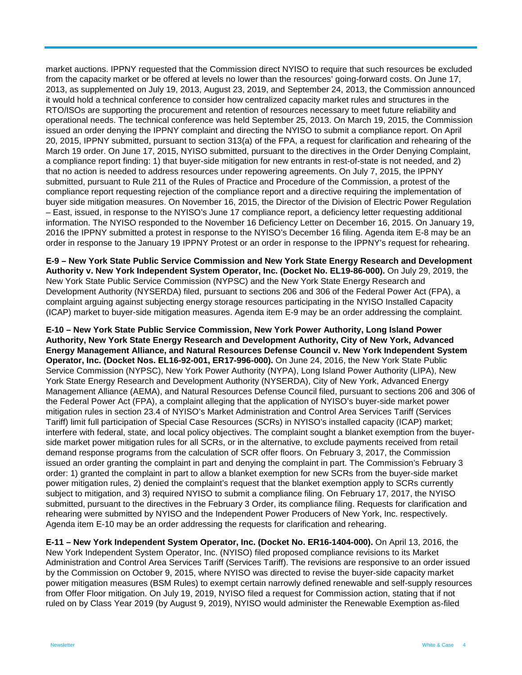market auctions. IPPNY requested that the Commission direct NYISO to require that such resources be excluded from the capacity market or be offered at levels no lower than the resources' going-forward costs. On June 17, 2013, as supplemented on July 19, 2013, August 23, 2019, and September 24, 2013, the Commission announced it would hold a technical conference to consider how centralized capacity market rules and structures in the RTO/ISOs are supporting the procurement and retention of resources necessary to meet future reliability and operational needs. The technical conference was held September 25, 2013. On March 19, 2015, the Commission issued an order denying the IPPNY complaint and directing the NYISO to submit a compliance report. On April 20, 2015, IPPNY submitted, pursuant to section 313(a) of the FPA, a request for clarification and rehearing of the March 19 order. On June 17, 2015, NYISO submitted, pursuant to the directives in the Order Denying Complaint, a compliance report finding: 1) that buyer-side mitigation for new entrants in rest-of-state is not needed, and 2) that no action is needed to address resources under repowering agreements. On July 7, 2015, the IPPNY submitted, pursuant to Rule 211 of the Rules of Practice and Procedure of the Commission, a protest of the compliance report requesting rejection of the compliance report and a directive requiring the implementation of buyer side mitigation measures. On November 16, 2015, the Director of the Division of Electric Power Regulation – East, issued, in response to the NYISO's June 17 compliance report, a deficiency letter requesting additional information. The NYISO responded to the November 16 Deficiency Letter on December 16, 2015. On January 19, 2016 the IPPNY submitted a protest in response to the NYISO's December 16 filing. Agenda item E-8 may be an order in response to the January 19 IPPNY Protest or an order in response to the IPPNY's request for rehearing.

**E-9 – New York State Public Service Commission and New York State Energy Research and Development Authority v. New York Independent System Operator, Inc. (Docket No. EL19-86-000).** On July 29, 2019, the New York State Public Service Commission (NYPSC) and the New York State Energy Research and Development Authority (NYSERDA) filed, pursuant to sections 206 and 306 of the Federal Power Act (FPA), a complaint arguing against subjecting energy storage resources participating in the NYISO Installed Capacity (ICAP) market to buyer-side mitigation measures. Agenda item E-9 may be an order addressing the complaint.

**E-10 – New York State Public Service Commission, New York Power Authority, Long Island Power Authority, New York State Energy Research and Development Authority, City of New York, Advanced Energy Management Alliance, and Natural Resources Defense Council v. New York Independent System Operator, Inc. (Docket Nos. EL16-92-001, ER17-996-000).** On June 24, 2016, the New York State Public Service Commission (NYPSC), New York Power Authority (NYPA), Long Island Power Authority (LIPA), New York State Energy Research and Development Authority (NYSERDA), City of New York, Advanced Energy Management Alliance (AEMA), and Natural Resources Defense Council filed, pursuant to sections 206 and 306 of the Federal Power Act (FPA), a complaint alleging that the application of NYISO's buyer-side market power mitigation rules in section 23.4 of NYISO's Market Administration and Control Area Services Tariff (Services Tariff) limit full participation of Special Case Resources (SCRs) in NYISO's installed capacity (ICAP) market; interfere with federal, state, and local policy objectives. The complaint sought a blanket exemption from the buyerside market power mitigation rules for all SCRs, or in the alternative, to exclude payments received from retail demand response programs from the calculation of SCR offer floors. On February 3, 2017, the Commission issued an order granting the complaint in part and denying the complaint in part. The Commission's February 3 order: 1) granted the complaint in part to allow a blanket exemption for new SCRs from the buyer-side market power mitigation rules, 2) denied the complaint's request that the blanket exemption apply to SCRs currently subject to mitigation, and 3) required NYISO to submit a compliance filing. On February 17, 2017, the NYISO submitted, pursuant to the directives in the February 3 Order, its compliance filing. Requests for clarification and rehearing were submitted by NYISO and the Independent Power Producers of New York, Inc. respectively. Agenda item E-10 may be an order addressing the requests for clarification and rehearing.

**E-11 – New York Independent System Operator, Inc. (Docket No. ER16-1404-000).** On April 13, 2016, the New York Independent System Operator, Inc. (NYISO) filed proposed compliance revisions to its Market Administration and Control Area Services Tariff (Services Tariff). The revisions are responsive to an order issued by the Commission on October 9, 2015, where NYISO was directed to revise the buyer-side capacity market power mitigation measures (BSM Rules) to exempt certain narrowly defined renewable and self-supply resources from Offer Floor mitigation. On July 19, 2019, NYISO filed a request for Commission action, stating that if not ruled on by Class Year 2019 (by August 9, 2019), NYISO would administer the Renewable Exemption as-filed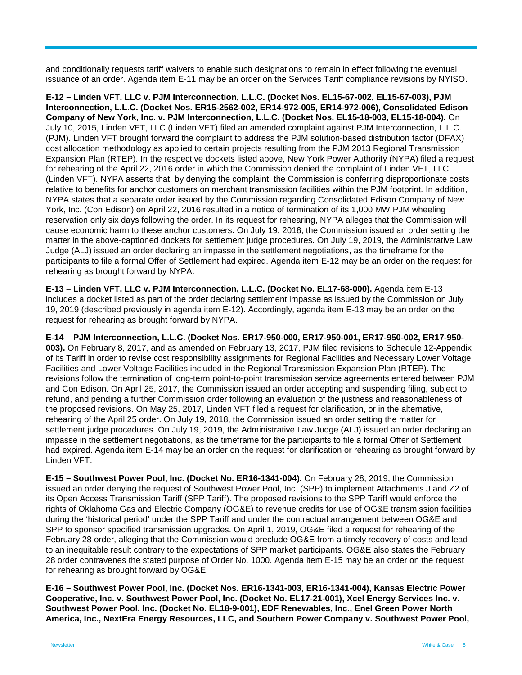and conditionally requests tariff waivers to enable such designations to remain in effect following the eventual issuance of an order. Agenda item E-11 may be an order on the Services Tariff compliance revisions by NYISO.

**E-12 – Linden VFT, LLC v. PJM Interconnection, L.L.C. (Docket Nos. EL15-67-002, EL15-67-003), PJM Interconnection, L.L.C. (Docket Nos. ER15-2562-002, ER14-972-005, ER14-972-006), Consolidated Edison Company of New York, Inc. v. PJM Interconnection, L.L.C. (Docket Nos. EL15-18-003, EL15-18-004).** On July 10, 2015, Linden VFT, LLC (Linden VFT) filed an amended complaint against PJM Interconnection, L.L.C. (PJM). Linden VFT brought forward the complaint to address the PJM solution-based distribution factor (DFAX) cost allocation methodology as applied to certain projects resulting from the PJM 2013 Regional Transmission Expansion Plan (RTEP). In the respective dockets listed above, New York Power Authority (NYPA) filed a request for rehearing of the April 22, 2016 order in which the Commission denied the complaint of Linden VFT, LLC (Linden VFT). NYPA asserts that, by denying the complaint, the Commission is conferring disproportionate costs relative to benefits for anchor customers on merchant transmission facilities within the PJM footprint. In addition, NYPA states that a separate order issued by the Commission regarding Consolidated Edison Company of New York, Inc. (Con Edison) on April 22, 2016 resulted in a notice of termination of its 1,000 MW PJM wheeling reservation only six days following the order. In its request for rehearing, NYPA alleges that the Commission will cause economic harm to these anchor customers. On July 19, 2018, the Commission issued an order setting the matter in the above-captioned dockets for settlement judge procedures. On July 19, 2019, the Administrative Law Judge (ALJ) issued an order declaring an impasse in the settlement negotiations, as the timeframe for the participants to file a formal Offer of Settlement had expired. Agenda item E-12 may be an order on the request for rehearing as brought forward by NYPA.

**E-13 – Linden VFT, LLC v. PJM Interconnection, L.L.C. (Docket No. EL17-68-000).** Agenda item E-13 includes a docket listed as part of the order declaring settlement impasse as issued by the Commission on July 19, 2019 (described previously in agenda item E-12). Accordingly, agenda item E-13 may be an order on the request for rehearing as brought forward by NYPA.

**E-14 – PJM Interconnection, L.L.C. (Docket Nos. ER17-950-000, ER17-950-001, ER17-950-002, ER17-950- 003).** On February 8, 2017, and as amended on February 13, 2017, PJM filed revisions to Schedule 12-Appendix of its Tariff in order to revise cost responsibility assignments for Regional Facilities and Necessary Lower Voltage Facilities and Lower Voltage Facilities included in the Regional Transmission Expansion Plan (RTEP). The revisions follow the termination of long-term point-to-point transmission service agreements entered between PJM and Con Edison. On April 25, 2017, the Commission issued an order accepting and suspending filing, subject to refund, and pending a further Commission order following an evaluation of the justness and reasonableness of the proposed revisions. On May 25, 2017, Linden VFT filed a request for clarification, or in the alternative, rehearing of the April 25 order. On July 19, 2018, the Commission issued an order setting the matter for settlement judge procedures. On July 19, 2019, the Administrative Law Judge (ALJ) issued an order declaring an impasse in the settlement negotiations, as the timeframe for the participants to file a formal Offer of Settlement had expired. Agenda item E-14 may be an order on the request for clarification or rehearing as brought forward by Linden VFT.

**E-15 – Southwest Power Pool, Inc. (Docket No. ER16-1341-004).** On February 28, 2019, the Commission issued an order denying the request of Southwest Power Pool, Inc. (SPP) to implement Attachments J and Z2 of its Open Access Transmission Tariff (SPP Tariff). The proposed revisions to the SPP Tariff would enforce the rights of Oklahoma Gas and Electric Company (OG&E) to revenue credits for use of OG&E transmission facilities during the 'historical period' under the SPP Tariff and under the contractual arrangement between OG&E and SPP to sponsor specified transmission upgrades. On April 1, 2019, OG&E filed a request for rehearing of the February 28 order, alleging that the Commission would preclude OG&E from a timely recovery of costs and lead to an inequitable result contrary to the expectations of SPP market participants. OG&E also states the February 28 order contravenes the stated purpose of Order No. 1000. Agenda item E-15 may be an order on the request for rehearing as brought forward by OG&E.

**E-16 – Southwest Power Pool, Inc. (Docket Nos. ER16-1341-003, ER16-1341-004), Kansas Electric Power Cooperative, Inc. v. Southwest Power Pool, Inc. (Docket No. EL17-21-001), Xcel Energy Services Inc. v. Southwest Power Pool, Inc. (Docket No. EL18-9-001), EDF Renewables, Inc., Enel Green Power North America, Inc., NextEra Energy Resources, LLC, and Southern Power Company v. Southwest Power Pool,**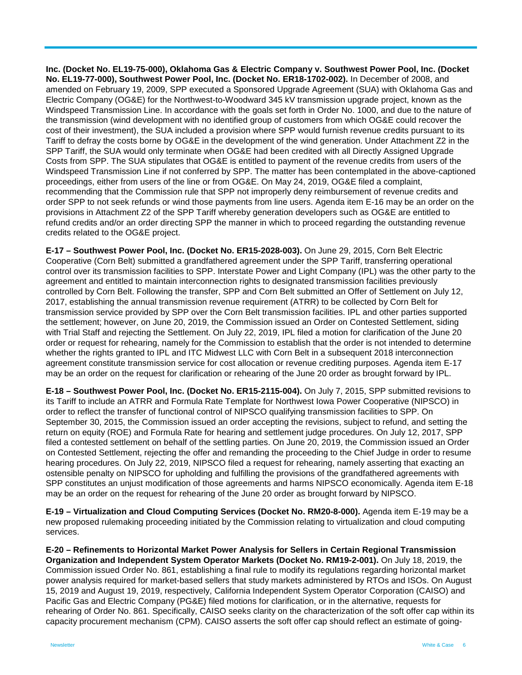**Inc. (Docket No. EL19-75-000), Oklahoma Gas & Electric Company v. Southwest Power Pool, Inc. (Docket No. EL19-77-000), Southwest Power Pool, Inc. (Docket No. ER18-1702-002).** In December of 2008, and amended on February 19, 2009, SPP executed a Sponsored Upgrade Agreement (SUA) with Oklahoma Gas and Electric Company (OG&E) for the Northwest-to-Woodward 345 kV transmission upgrade project, known as the Windspeed Transmission Line. In accordance with the goals set forth in Order No. 1000, and due to the nature of the transmission (wind development with no identified group of customers from which OG&E could recover the cost of their investment), the SUA included a provision where SPP would furnish revenue credits pursuant to its Tariff to defray the costs borne by OG&E in the development of the wind generation. Under Attachment Z2 in the SPP Tariff, the SUA would only terminate when OG&E had been credited with all Directly Assigned Upgrade Costs from SPP. The SUA stipulates that OG&E is entitled to payment of the revenue credits from users of the Windspeed Transmission Line if not conferred by SPP. The matter has been contemplated in the above-captioned proceedings, either from users of the line or from OG&E. On May 24, 2019, OG&E filed a complaint, recommending that the Commission rule that SPP not improperly deny reimbursement of revenue credits and order SPP to not seek refunds or wind those payments from line users. Agenda item E-16 may be an order on the provisions in Attachment Z2 of the SPP Tariff whereby generation developers such as OG&E are entitled to refund credits and/or an order directing SPP the manner in which to proceed regarding the outstanding revenue credits related to the OG&E project.

**E-17 – Southwest Power Pool, Inc. (Docket No. ER15-2028-003).** On June 29, 2015, Corn Belt Electric Cooperative (Corn Belt) submitted a grandfathered agreement under the SPP Tariff, transferring operational control over its transmission facilities to SPP. Interstate Power and Light Company (IPL) was the other party to the agreement and entitled to maintain interconnection rights to designated transmission facilities previously controlled by Corn Belt. Following the transfer, SPP and Corn Belt submitted an Offer of Settlement on July 12, 2017, establishing the annual transmission revenue requirement (ATRR) to be collected by Corn Belt for transmission service provided by SPP over the Corn Belt transmission facilities. IPL and other parties supported the settlement; however, on June 20, 2019, the Commission issued an Order on Contested Settlement, siding with Trial Staff and rejecting the Settlement. On July 22, 2019, IPL filed a motion for clarification of the June 20 order or request for rehearing, namely for the Commission to establish that the order is not intended to determine whether the rights granted to IPL and ITC Midwest LLC with Corn Belt in a subsequent 2018 interconnection agreement constitute transmission service for cost allocation or revenue crediting purposes. Agenda item E-17 may be an order on the request for clarification or rehearing of the June 20 order as brought forward by IPL.

**E-18 – Southwest Power Pool, Inc. (Docket No. ER15-2115-004).** On July 7, 2015, SPP submitted revisions to its Tariff to include an ATRR and Formula Rate Template for Northwest Iowa Power Cooperative (NIPSCO) in order to reflect the transfer of functional control of NIPSCO qualifying transmission facilities to SPP. On September 30, 2015, the Commission issued an order accepting the revisions, subject to refund, and setting the return on equity (ROE) and Formula Rate for hearing and settlement judge procedures. On July 12, 2017, SPP filed a contested settlement on behalf of the settling parties. On June 20, 2019, the Commission issued an Order on Contested Settlement, rejecting the offer and remanding the proceeding to the Chief Judge in order to resume hearing procedures. On July 22, 2019, NIPSCO filed a request for rehearing, namely asserting that exacting an ostensible penalty on NIPSCO for upholding and fulfilling the provisions of the grandfathered agreements with SPP constitutes an unjust modification of those agreements and harms NIPSCO economically. Agenda item E-18 may be an order on the request for rehearing of the June 20 order as brought forward by NIPSCO.

**E-19 – Virtualization and Cloud Computing Services (Docket No. RM20-8-000).** Agenda item E-19 may be a new proposed rulemaking proceeding initiated by the Commission relating to virtualization and cloud computing services.

**E-20 – Refinements to Horizontal Market Power Analysis for Sellers in Certain Regional Transmission Organization and Independent System Operator Markets (Docket No. RM19-2-001).** On July 18, 2019, the Commission issued Order No. 861, establishing a final rule to modify its regulations regarding horizontal market power analysis required for market-based sellers that study markets administered by RTOs and ISOs. On August 15, 2019 and August 19, 2019, respectively, California Independent System Operator Corporation (CAISO) and Pacific Gas and Electric Company (PG&E) filed motions for clarification, or in the alternative, requests for rehearing of Order No. 861. Specifically, CAISO seeks clarity on the characterization of the soft offer cap within its capacity procurement mechanism (CPM). CAISO asserts the soft offer cap should reflect an estimate of going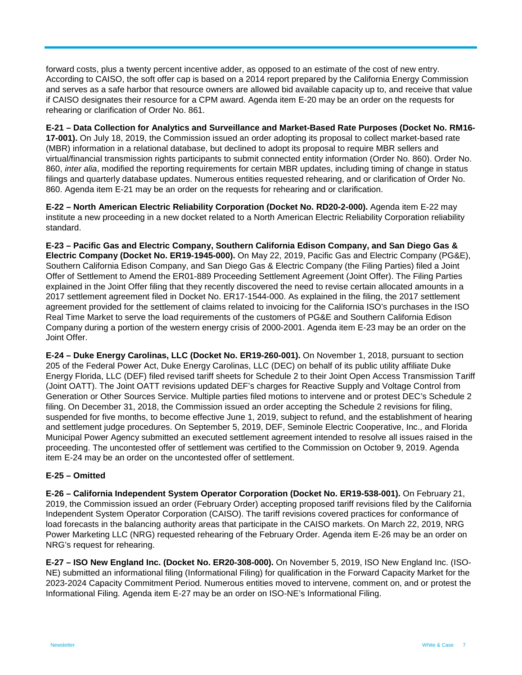forward costs, plus a twenty percent incentive adder, as opposed to an estimate of the cost of new entry. According to CAISO, the soft offer cap is based on a 2014 report prepared by the California Energy Commission and serves as a safe harbor that resource owners are allowed bid available capacity up to, and receive that value if CAISO designates their resource for a CPM award. Agenda item E-20 may be an order on the requests for rehearing or clarification of Order No. 861.

**E-21 – Data Collection for Analytics and Surveillance and Market-Based Rate Purposes (Docket No. RM16- 17-001).** On July 18, 2019, the Commission issued an order adopting its proposal to collect market-based rate (MBR) information in a relational database, but declined to adopt its proposal to require MBR sellers and virtual/financial transmission rights participants to submit connected entity information (Order No. 860). Order No. 860, *inter alia*, modified the reporting requirements for certain MBR updates, including timing of change in status filings and quarterly database updates. Numerous entities requested rehearing, and or clarification of Order No. 860. Agenda item E-21 may be an order on the requests for rehearing and or clarification.

**E-22 – North American Electric Reliability Corporation (Docket No. RD20-2-000).** Agenda item E-22 may institute a new proceeding in a new docket related to a North American Electric Reliability Corporation reliability standard.

**E-23 – Pacific Gas and Electric Company, Southern California Edison Company, and San Diego Gas & Electric Company (Docket No. ER19-1945-000).** On May 22, 2019, Pacific Gas and Electric Company (PG&E), Southern California Edison Company, and San Diego Gas & Electric Company (the Filing Parties) filed a Joint Offer of Settlement to Amend the ER01-889 Proceeding Settlement Agreement (Joint Offer). The Filing Parties explained in the Joint Offer filing that they recently discovered the need to revise certain allocated amounts in a 2017 settlement agreement filed in Docket No. ER17-1544-000. As explained in the filing, the 2017 settlement agreement provided for the settlement of claims related to invoicing for the California ISO's purchases in the ISO Real Time Market to serve the load requirements of the customers of PG&E and Southern California Edison Company during a portion of the western energy crisis of 2000-2001. Agenda item E-23 may be an order on the Joint Offer.

**E-24 – Duke Energy Carolinas, LLC (Docket No. ER19-260-001).** On November 1, 2018, pursuant to section 205 of the Federal Power Act, Duke Energy Carolinas, LLC (DEC) on behalf of its public utility affiliate Duke Energy Florida, LLC (DEF) filed revised tariff sheets for Schedule 2 to their Joint Open Access Transmission Tariff (Joint OATT). The Joint OATT revisions updated DEF's charges for Reactive Supply and Voltage Control from Generation or Other Sources Service. Multiple parties filed motions to intervene and or protest DEC's Schedule 2 filing. On December 31, 2018, the Commission issued an order accepting the Schedule 2 revisions for filing, suspended for five months, to become effective June 1, 2019, subject to refund, and the establishment of hearing and settlement judge procedures. On September 5, 2019, DEF, Seminole Electric Cooperative, Inc., and Florida Municipal Power Agency submitted an executed settlement agreement intended to resolve all issues raised in the proceeding. The uncontested offer of settlement was certified to the Commission on October 9, 2019. Agenda item E-24 may be an order on the uncontested offer of settlement.

#### **E-25 – Omitted**

**E-26 – California Independent System Operator Corporation (Docket No. ER19-538-001).** On February 21, 2019, the Commission issued an order (February Order) accepting proposed tariff revisions filed by the California Independent System Operator Corporation (CAISO). The tariff revisions covered practices for conformance of load forecasts in the balancing authority areas that participate in the CAISO markets. On March 22, 2019, NRG Power Marketing LLC (NRG) requested rehearing of the February Order. Agenda item E-26 may be an order on NRG's request for rehearing.

**E-27 – ISO New England Inc. (Docket No. ER20-308-000).** On November 5, 2019, ISO New England Inc. (ISO-NE) submitted an informational filing (Informational Filing) for qualification in the Forward Capacity Market for the 2023-2024 Capacity Commitment Period. Numerous entities moved to intervene, comment on, and or protest the Informational Filing. Agenda item E-27 may be an order on ISO-NE's Informational Filing.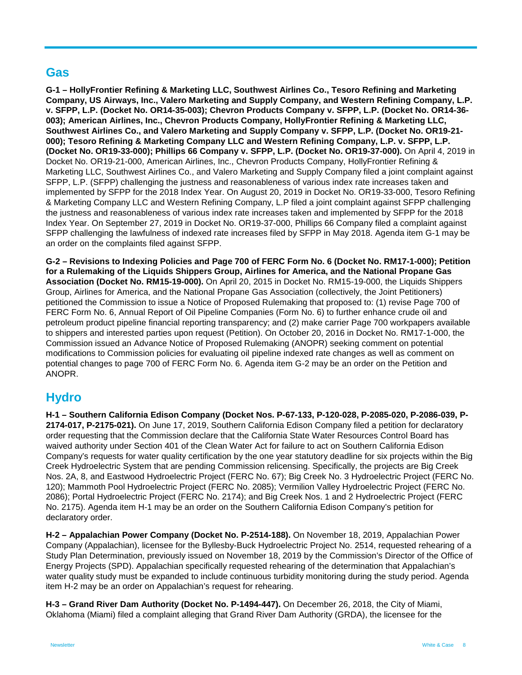## **Gas**

**G-1 – HollyFrontier Refining & Marketing LLC, Southwest Airlines Co., Tesoro Refining and Marketing Company, US Airways, Inc., Valero Marketing and Supply Company, and Western Refining Company, L.P. v. SFPP, L.P. (Docket No. OR14-35-003); Chevron Products Company v. SFPP, L.P. (Docket No. OR14-36- 003); American Airlines, Inc., Chevron Products Company, HollyFrontier Refining & Marketing LLC, Southwest Airlines Co., and Valero Marketing and Supply Company v. SFPP, L.P. (Docket No. OR19-21- 000); Tesoro Refining & Marketing Company LLC and Western Refining Company, L.P. v. SFPP, L.P. (Docket No. OR19-33-000); Phillips 66 Company v. SFPP, L.P. (Docket No. OR19-37-000).** On April 4, 2019 in Docket No. OR19-21-000, American Airlines, Inc., Chevron Products Company, HollyFrontier Refining & Marketing LLC, Southwest Airlines Co., and Valero Marketing and Supply Company filed a joint complaint against SFPP, L.P. (SFPP) challenging the justness and reasonableness of various index rate increases taken and implemented by SFPP for the 2018 Index Year. On August 20, 2019 in Docket No. OR19-33-000, Tesoro Refining & Marketing Company LLC and Western Refining Company, L.P filed a joint complaint against SFPP challenging the justness and reasonableness of various index rate increases taken and implemented by SFPP for the 2018 Index Year. On September 27, 2019 in Docket No. OR19-37-000, Phillips 66 Company filed a complaint against SFPP challenging the lawfulness of indexed rate increases filed by SFPP in May 2018. Agenda item G-1 may be an order on the complaints filed against SFPP.

**G-2 – Revisions to Indexing Policies and Page 700 of FERC Form No. 6 (Docket No. RM17-1-000); Petition for a Rulemaking of the Liquids Shippers Group, Airlines for America, and the National Propane Gas Association (Docket No. RM15-19-000).** On April 20, 2015 in Docket No. RM15-19-000, the Liquids Shippers Group, Airlines for America, and the National Propane Gas Association (collectively, the Joint Petitioners) petitioned the Commission to issue a Notice of Proposed Rulemaking that proposed to: (1) revise Page 700 of FERC Form No. 6, Annual Report of Oil Pipeline Companies (Form No. 6) to further enhance crude oil and petroleum product pipeline financial reporting transparency; and (2) make carrier Page 700 workpapers available to shippers and interested parties upon request (Petition). On October 20, 2016 in Docket No. RM17-1-000, the Commission issued an Advance Notice of Proposed Rulemaking (ANOPR) seeking comment on potential modifications to Commission policies for evaluating oil pipeline indexed rate changes as well as comment on potential changes to page 700 of FERC Form No. 6. Agenda item G-2 may be an order on the Petition and ANOPR.

# **Hydro**

**H-1 – Southern California Edison Company (Docket Nos. P-67-133, P-120-028, P-2085-020, P-2086-039, P-2174-017, P-2175-021).** On June 17, 2019, Southern California Edison Company filed a petition for declaratory order requesting that the Commission declare that the California State Water Resources Control Board has waived authority under Section 401 of the Clean Water Act for failure to act on Southern California Edison Company's requests for water quality certification by the one year statutory deadline for six projects within the Big Creek Hydroelectric System that are pending Commission relicensing. Specifically, the projects are Big Creek Nos. 2A, 8, and Eastwood Hydroelectric Project (FERC No. 67); Big Creek No. 3 Hydroelectric Project (FERC No. 120); Mammoth Pool Hydroelectric Project (FERC No. 2085); Vermilion Valley Hydroelectric Project (FERC No. 2086); Portal Hydroelectric Project (FERC No. 2174); and Big Creek Nos. 1 and 2 Hydroelectric Project (FERC No. 2175). Agenda item H-1 may be an order on the Southern California Edison Company's petition for declaratory order.

**H-2 – Appalachian Power Company (Docket No. P-2514-188).** On November 18, 2019, Appalachian Power Company (Appalachian), licensee for the Byllesby-Buck Hydroelectric Project No. 2514, requested rehearing of a Study Plan Determination, previously issued on November 18, 2019 by the Commission's Director of the Office of Energy Projects (SPD). Appalachian specifically requested rehearing of the determination that Appalachian's water quality study must be expanded to include continuous turbidity monitoring during the study period. Agenda item H-2 may be an order on Appalachian's request for rehearing.

**H-3 – Grand River Dam Authority (Docket No. P-1494-447).** On December 26, 2018, the City of Miami, Oklahoma (Miami) filed a complaint alleging that Grand River Dam Authority (GRDA), the licensee for the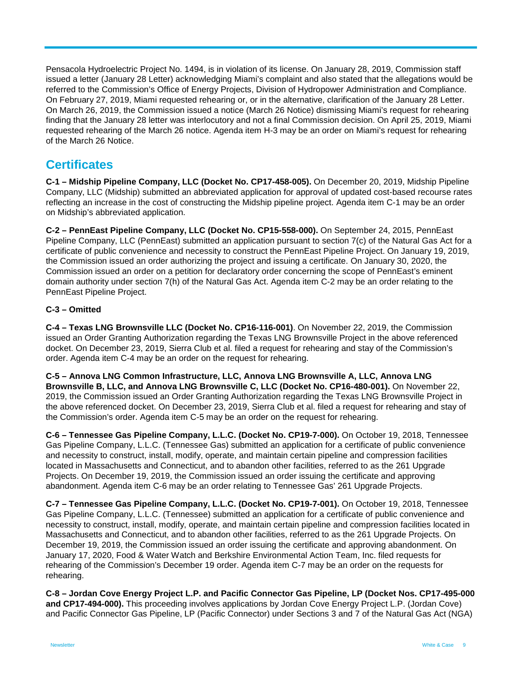Pensacola Hydroelectric Project No. 1494, is in violation of its license. On January 28, 2019, Commission staff issued a letter (January 28 Letter) acknowledging Miami's complaint and also stated that the allegations would be referred to the Commission's Office of Energy Projects, Division of Hydropower Administration and Compliance. On February 27, 2019, Miami requested rehearing or, or in the alternative, clarification of the January 28 Letter. On March 26, 2019, the Commission issued a notice (March 26 Notice) dismissing Miami's request for rehearing finding that the January 28 letter was interlocutory and not a final Commission decision. On April 25, 2019, Miami requested rehearing of the March 26 notice. Agenda item H-3 may be an order on Miami's request for rehearing of the March 26 Notice.

## **Certificates**

**C-1 – Midship Pipeline Company, LLC (Docket No. CP17-458-005).** On December 20, 2019, Midship Pipeline Company, LLC (Midship) submitted an abbreviated application for approval of updated cost-based recourse rates reflecting an increase in the cost of constructing the Midship pipeline project. Agenda item C-1 may be an order on Midship's abbreviated application.

**C-2 – PennEast Pipeline Company, LLC (Docket No. CP15-558-000).** On September 24, 2015, PennEast Pipeline Company, LLC (PennEast) submitted an application pursuant to section 7(c) of the Natural Gas Act for a certificate of public convenience and necessity to construct the PennEast Pipeline Project. On January 19, 2019, the Commission issued an order authorizing the project and issuing a certificate. On January 30, 2020, the Commission issued an order on a petition for declaratory order concerning the scope of PennEast's eminent domain authority under section 7(h) of the Natural Gas Act. Agenda item C-2 may be an order relating to the PennEast Pipeline Project.

## **C-3 – Omitted**

**C-4 – Texas LNG Brownsville LLC (Docket No. CP16-116-001)**. On November 22, 2019, the Commission issued an Order Granting Authorization regarding the Texas LNG Brownsville Project in the above referenced docket. On December 23, 2019, Sierra Club et al. filed a request for rehearing and stay of the Commission's order. Agenda item C-4 may be an order on the request for rehearing.

**C-5 – Annova LNG Common Infrastructure, LLC, Annova LNG Brownsville A, LLC, Annova LNG Brownsville B, LLC, and Annova LNG Brownsville C, LLC (Docket No. CP16-480-001).** On November 22, 2019, the Commission issued an Order Granting Authorization regarding the Texas LNG Brownsville Project in the above referenced docket. On December 23, 2019, Sierra Club et al. filed a request for rehearing and stay of the Commission's order. Agenda item C-5 may be an order on the request for rehearing.

**C-6 – Tennessee Gas Pipeline Company, L.L.C. (Docket No. CP19-7-000).** On October 19, 2018, Tennessee Gas Pipeline Company, L.L.C. (Tennessee Gas) submitted an application for a certificate of public convenience and necessity to construct, install, modify, operate, and maintain certain pipeline and compression facilities located in Massachusetts and Connecticut, and to abandon other facilities, referred to as the 261 Upgrade Projects. On December 19, 2019, the Commission issued an order issuing the certificate and approving abandonment. Agenda item C-6 may be an order relating to Tennessee Gas' 261 Upgrade Projects.

**C-7 – Tennessee Gas Pipeline Company, L.L.C. (Docket No. CP19-7-001).** On October 19, 2018, Tennessee Gas Pipeline Company, L.L.C. (Tennessee) submitted an application for a certificate of public convenience and necessity to construct, install, modify, operate, and maintain certain pipeline and compression facilities located in Massachusetts and Connecticut, and to abandon other facilities, referred to as the 261 Upgrade Projects. On December 19, 2019, the Commission issued an order issuing the certificate and approving abandonment. On January 17, 2020, Food & Water Watch and Berkshire Environmental Action Team, Inc. filed requests for rehearing of the Commission's December 19 order. Agenda item C-7 may be an order on the requests for rehearing.

**C-8 – Jordan Cove Energy Project L.P. and Pacific Connector Gas Pipeline, LP (Docket Nos. CP17-495-000 and CP17-494-000).** This proceeding involves applications by Jordan Cove Energy Project L.P. (Jordan Cove) and Pacific Connector Gas Pipeline, LP (Pacific Connector) under Sections 3 and 7 of the Natural Gas Act (NGA)